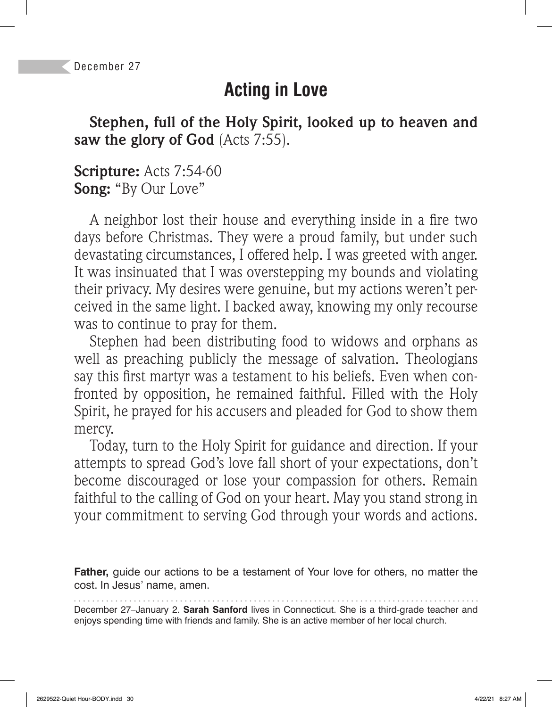# **Acting in Love**

**Stephen, full of the Holy Spirit, looked up to heaven and saw the glory of God** (Acts 7:55).

#### **Scripture:** Acts 7:54-60 **Song:** "By Our Love"

A neighbor lost their house and everything inside in a fire two days before Christmas. They were a proud family, but under such devastating circumstances, I offered help. I was greeted with anger. It was insinuated that I was overstepping my bounds and violating their privacy. My desires were genuine, but my actions weren't perceived in the same light. I backed away, knowing my only recourse was to continue to pray for them.

Stephen had been distributing food to widows and orphans as well as preaching publicly the message of salvation. Theologians say this first martyr was a testament to his beliefs. Even when confronted by opposition, he remained faithful. Filled with the Holy Spirit, he prayed for his accusers and pleaded for God to show them mercy.

Today, turn to the Holy Spirit for guidance and direction. If your attempts to spread God's love fall short of your expectations, don't become discouraged or lose your compassion for others. Remain faithful to the calling of God on your heart. May you stand strong in your commitment to serving God through your words and actions.

**Father,** guide our actions to be a testament of Your love for others, no matter the cost. In Jesus' name, amen.

December 27–January 2. **Sarah Sanford** lives in Connecticut. She is a third-grade teacher and enjoys spending time with friends and family. She is an active member of her local church.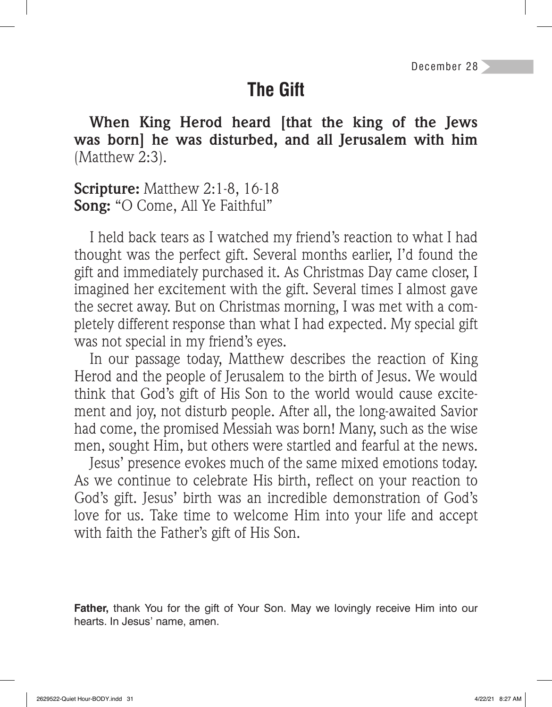# **The Gift**

**When King Herod heard [that the king of the Jews was born] he was disturbed, and all Jerusalem with him**  (Matthew 2:3).

**Scripture:** Matthew 2:1-8, 16-18 **Song:** "O Come, All Ye Faithful"

I held back tears as I watched my friend's reaction to what I had thought was the perfect gift. Several months earlier, I'd found the gift and immediately purchased it. As Christmas Day came closer, I imagined her excitement with the gift. Several times I almost gave the secret away. But on Christmas morning, I was met with a completely different response than what I had expected. My special gift was not special in my friend's eyes.

In our passage today, Matthew describes the reaction of King Herod and the people of Jerusalem to the birth of Jesus. We would think that God's gift of His Son to the world would cause excitement and joy, not disturb people. After all, the long-awaited Savior had come, the promised Messiah was born! Many, such as the wise men, sought Him, but others were startled and fearful at the news.

Jesus' presence evokes much of the same mixed emotions today. As we continue to celebrate His birth, reflect on your reaction to God's gift. Jesus' birth was an incredible demonstration of God's love for us. Take time to welcome Him into your life and accept with faith the Father's gift of His Son.

**Father,** thank You for the gift of Your Son. May we lovingly receive Him into our hearts. In Jesus' name, amen.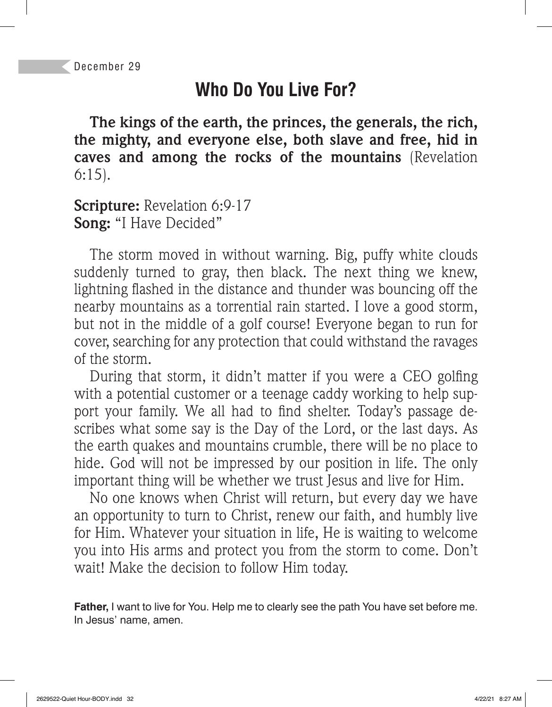# **Who Do You Live For?**

**The kings of the earth, the princes, the generals, the rich, the mighty, and everyone else, both slave and free, hid in caves and among the rocks of the mountains** (Revelation 6:15).

#### **Scripture:** Revelation 6:9-17 **Song:** "I Have Decided"

The storm moved in without warning. Big, puffy white clouds suddenly turned to gray, then black. The next thing we knew, lightning flashed in the distance and thunder was bouncing off the nearby mountains as a torrential rain started. I love a good storm, but not in the middle of a golf course! Everyone began to run for cover, searching for any protection that could withstand the ravages of the storm.

During that storm, it didn't matter if you were a CEO golfing with a potential customer or a teenage caddy working to help support your family. We all had to find shelter. Today's passage describes what some say is the Day of the Lord, or the last days. As the earth quakes and mountains crumble, there will be no place to hide. God will not be impressed by our position in life. The only important thing will be whether we trust Jesus and live for Him.

No one knows when Christ will return, but every day we have an opportunity to turn to Christ, renew our faith, and humbly live for Him. Whatever your situation in life, He is waiting to welcome you into His arms and protect you from the storm to come. Don't wait! Make the decision to follow Him today.

**Father,** I want to live for You. Help me to clearly see the path You have set before me. In Jesus' name, amen.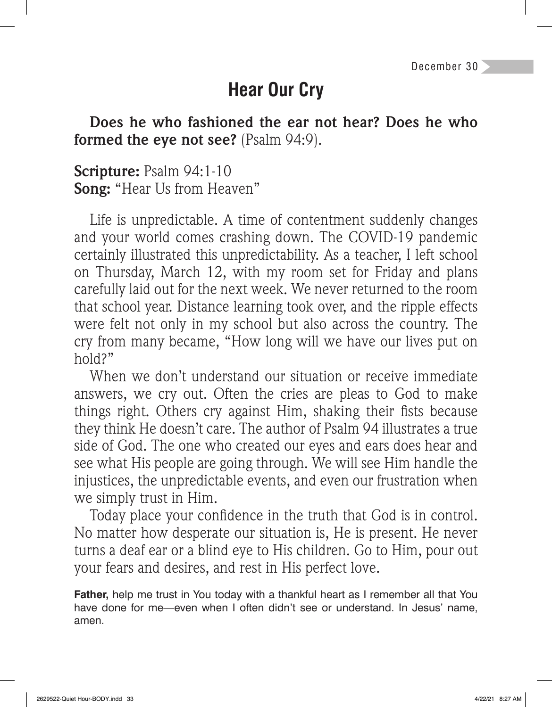# **Hear Our Cry**

**Does he who fashioned the ear not hear? Does he who formed the eye not see?** (Psalm 94:9).

**Scripture:** Psalm 94:1-10 **Song:** "Hear Us from Heaven"

Life is unpredictable. A time of contentment suddenly changes and your world comes crashing down. The COVID-19 pandemic certainly illustrated this unpredictability. As a teacher, I left school on Thursday, March 12, with my room set for Friday and plans carefully laid out for the next week. We never returned to the room that school year. Distance learning took over, and the ripple effects were felt not only in my school but also across the country. The cry from many became, "How long will we have our lives put on hold?"

When we don't understand our situation or receive immediate answers, we cry out. Often the cries are pleas to God to make things right. Others cry against Him, shaking their fists because they think He doesn't care. The author of Psalm 94 illustrates a true side of God. The one who created our eyes and ears does hear and see what His people are going through. We will see Him handle the injustices, the unpredictable events, and even our frustration when we simply trust in Him.

Today place your confidence in the truth that God is in control. No matter how desperate our situation is, He is present. He never turns a deaf ear or a blind eye to His children. Go to Him, pour out your fears and desires, and rest in His perfect love.

**Father,** help me trust in You today with a thankful heart as I remember all that You have done for me—even when I often didn't see or understand. In Jesus' name, amen.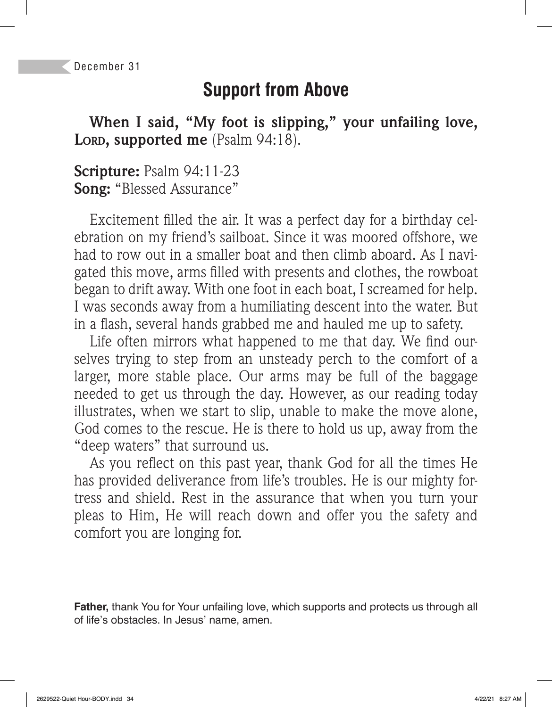### **Support from Above**

**When I said, "My foot is slipping," your unfailing love,**  LORD, supported me (Psalm 94:18).

**Scripture:** Psalm 94:11-23 **Song:** "Blessed Assurance"

Excitement filled the air. It was a perfect day for a birthday celebration on my friend's sailboat. Since it was moored offshore, we had to row out in a smaller boat and then climb aboard. As I navigated this move, arms filled with presents and clothes, the rowboat began to drift away. With one foot in each boat, I screamed for help. I was seconds away from a humiliating descent into the water. But in a flash, several hands grabbed me and hauled me up to safety.

Life often mirrors what happened to me that day. We find ourselves trying to step from an unsteady perch to the comfort of a larger, more stable place. Our arms may be full of the baggage needed to get us through the day. However, as our reading today illustrates, when we start to slip, unable to make the move alone, God comes to the rescue. He is there to hold us up, away from the "deep waters" that surround us.

As you reflect on this past year, thank God for all the times He has provided deliverance from life's troubles. He is our mighty fortress and shield. Rest in the assurance that when you turn your pleas to Him, He will reach down and offer you the safety and comfort you are longing for.

**Father,** thank You for Your unfailing love, which supports and protects us through all of life's obstacles. In Jesus' name, amen.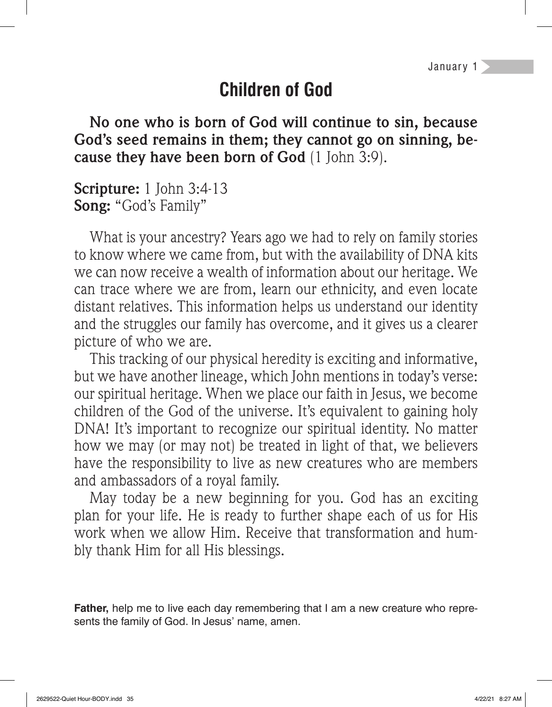# **Children of God**

**No one who is born of God will continue to sin, because God's seed remains in them; they cannot go on sinning, because they have been born of God** (1 John 3:9).

**Scripture:** 1 John 3:4-13 **Song:** "God's Family"

What is your ancestry? Years ago we had to rely on family stories to know where we came from, but with the availability of DNA kits we can now receive a wealth of information about our heritage. We can trace where we are from, learn our ethnicity, and even locate distant relatives. This information helps us understand our identity and the struggles our family has overcome, and it gives us a clearer picture of who we are.

This tracking of our physical heredity is exciting and informative, but we have another lineage, which John mentions in today's verse: our spiritual heritage. When we place our faith in Jesus, we become children of the God of the universe. It's equivalent to gaining holy DNA! It's important to recognize our spiritual identity. No matter how we may (or may not) be treated in light of that, we believers have the responsibility to live as new creatures who are members and ambassadors of a royal family.

May today be a new beginning for you. God has an exciting plan for your life. He is ready to further shape each of us for His work when we allow Him. Receive that transformation and humbly thank Him for all His blessings.

**Father,** help me to live each day remembering that I am a new creature who represents the family of God. In Jesus' name, amen.